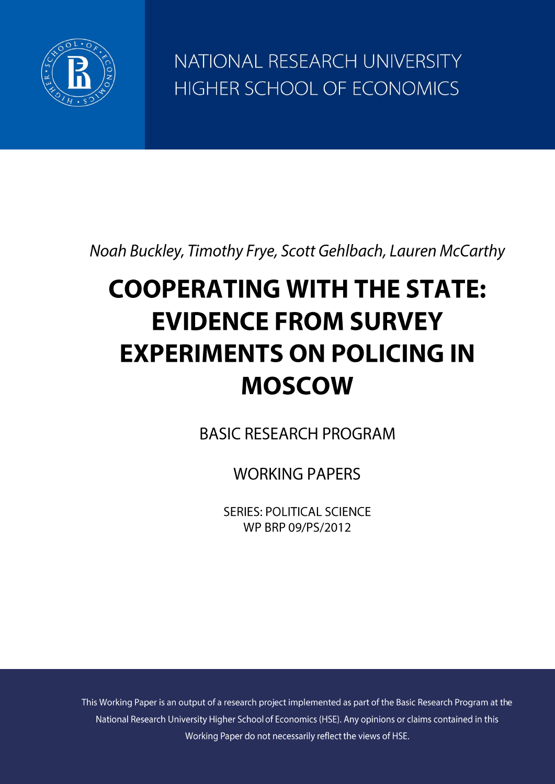

NATIONAL RESEARCH UNIVERSITY HIGHER SCHOOL OF ECONOMICS

Noah Buckley, Timothy Frye, Scott Gehlbach, Lauren McCarthy

# **COOPERATING WITH THE STATE: EVIDENCE FROM SURVEY EXPERIMENTS ON POLICING IN MOSCOW**

**BASIC RESEARCH PROGRAM** 

**WORKING PAPERS** 

**SERIES: POLITICAL SCIENCE** WP BRP 09/PS/2012

This Working Paper is an output of a research project implemented as part of the Basic Research Program at the National Research University Higher School of Economics (HSE). Any opinions or claims contained in this Working Paper do not necessarily reflect the views of HSE.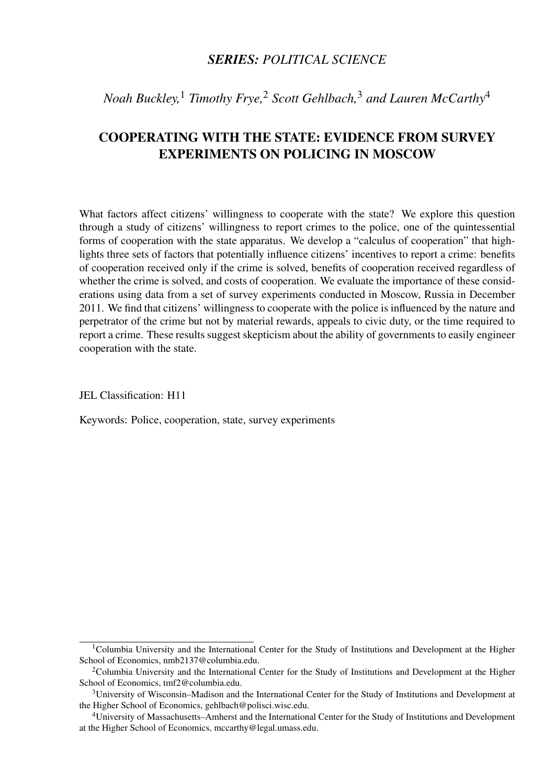## *SERIES: POLITICAL SCIENCE*

*Noah Buckley,*<sup>1</sup> *Timothy Frye,*<sup>2</sup> *Scott Gehlbach,*<sup>3</sup> *and Lauren McCarthy*<sup>4</sup>

# COOPERATING WITH THE STATE: EVIDENCE FROM SURVEY EXPERIMENTS ON POLICING IN MOSCOW

What factors affect citizens' willingness to cooperate with the state? We explore this question through a study of citizens' willingness to report crimes to the police, one of the quintessential forms of cooperation with the state apparatus. We develop a "calculus of cooperation" that highlights three sets of factors that potentially influence citizens' incentives to report a crime: benefits of cooperation received only if the crime is solved, benefits of cooperation received regardless of whether the crime is solved, and costs of cooperation. We evaluate the importance of these considerations using data from a set of survey experiments conducted in Moscow, Russia in December 2011. We find that citizens' willingness to cooperate with the police is influenced by the nature and perpetrator of the crime but not by material rewards, appeals to civic duty, or the time required to report a crime. These results suggest skepticism about the ability of governments to easily engineer cooperation with the state.

JEL Classification: H11

Keywords: Police, cooperation, state, survey experiments

<sup>&</sup>lt;sup>1</sup>Columbia University and the International Center for the Study of Institutions and Development at the Higher School of Economics, nmb2137@columbia.edu.

<sup>&</sup>lt;sup>2</sup>Columbia University and the International Center for the Study of Institutions and Development at the Higher School of Economics, tmf2@columbia.edu.

<sup>3</sup>University of Wisconsin–Madison and the International Center for the Study of Institutions and Development at the Higher School of Economics, gehlbach@polisci.wisc.edu.

<sup>4</sup>University of Massachusetts–Amherst and the International Center for the Study of Institutions and Development at the Higher School of Economics, mccarthy@legal.umass.edu.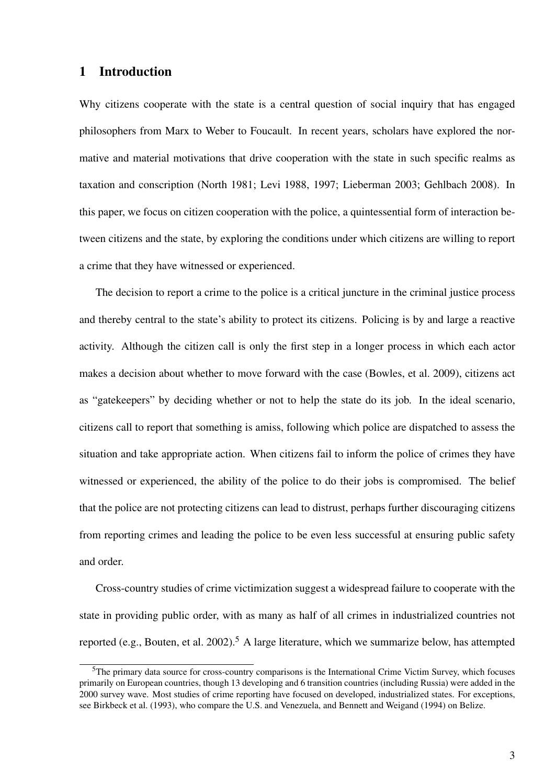## 1 Introduction

Why citizens cooperate with the state is a central question of social inquiry that has engaged philosophers from Marx to Weber to Foucault. In recent years, scholars have explored the normative and material motivations that drive cooperation with the state in such specific realms as taxation and conscription (North 1981; Levi 1988, 1997; Lieberman 2003; Gehlbach 2008). In this paper, we focus on citizen cooperation with the police, a quintessential form of interaction between citizens and the state, by exploring the conditions under which citizens are willing to report a crime that they have witnessed or experienced.

The decision to report a crime to the police is a critical juncture in the criminal justice process and thereby central to the state's ability to protect its citizens. Policing is by and large a reactive activity. Although the citizen call is only the first step in a longer process in which each actor makes a decision about whether to move forward with the case (Bowles, et al. 2009), citizens act as "gatekeepers" by deciding whether or not to help the state do its job. In the ideal scenario, citizens call to report that something is amiss, following which police are dispatched to assess the situation and take appropriate action. When citizens fail to inform the police of crimes they have witnessed or experienced, the ability of the police to do their jobs is compromised. The belief that the police are not protecting citizens can lead to distrust, perhaps further discouraging citizens from reporting crimes and leading the police to be even less successful at ensuring public safety and order.

Cross-country studies of crime victimization suggest a widespread failure to cooperate with the state in providing public order, with as many as half of all crimes in industrialized countries not reported (e.g., Bouten, et al. 2002).<sup>5</sup> A large literature, which we summarize below, has attempted

<sup>&</sup>lt;sup>5</sup>The primary data source for cross-country comparisons is the International Crime Victim Survey, which focuses primarily on European countries, though 13 developing and 6 transition countries (including Russia) were added in the 2000 survey wave. Most studies of crime reporting have focused on developed, industrialized states. For exceptions, see Birkbeck et al. (1993), who compare the U.S. and Venezuela, and Bennett and Weigand (1994) on Belize.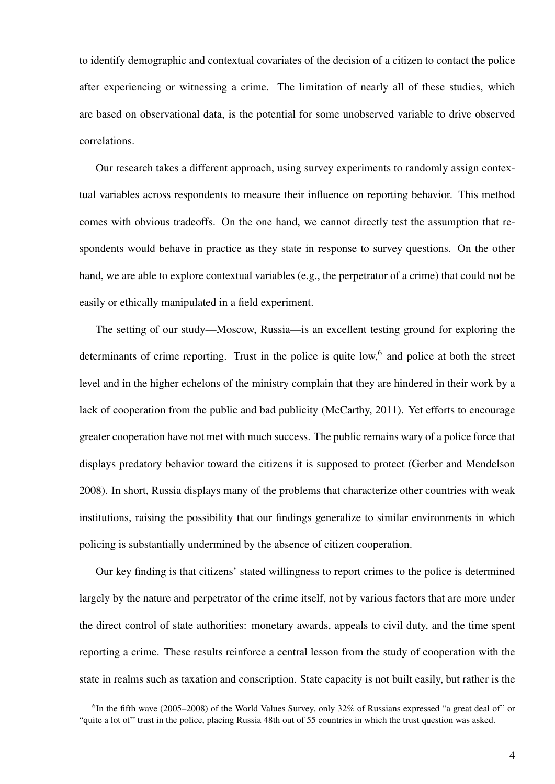to identify demographic and contextual covariates of the decision of a citizen to contact the police after experiencing or witnessing a crime. The limitation of nearly all of these studies, which are based on observational data, is the potential for some unobserved variable to drive observed correlations.

Our research takes a different approach, using survey experiments to randomly assign contextual variables across respondents to measure their influence on reporting behavior. This method comes with obvious tradeoffs. On the one hand, we cannot directly test the assumption that respondents would behave in practice as they state in response to survey questions. On the other hand, we are able to explore contextual variables (e.g., the perpetrator of a crime) that could not be easily or ethically manipulated in a field experiment.

The setting of our study—Moscow, Russia—is an excellent testing ground for exploring the determinants of crime reporting. Trust in the police is quite low,<sup>6</sup> and police at both the street level and in the higher echelons of the ministry complain that they are hindered in their work by a lack of cooperation from the public and bad publicity (McCarthy, 2011). Yet efforts to encourage greater cooperation have not met with much success. The public remains wary of a police force that displays predatory behavior toward the citizens it is supposed to protect (Gerber and Mendelson 2008). In short, Russia displays many of the problems that characterize other countries with weak institutions, raising the possibility that our findings generalize to similar environments in which policing is substantially undermined by the absence of citizen cooperation.

Our key finding is that citizens' stated willingness to report crimes to the police is determined largely by the nature and perpetrator of the crime itself, not by various factors that are more under the direct control of state authorities: monetary awards, appeals to civil duty, and the time spent reporting a crime. These results reinforce a central lesson from the study of cooperation with the state in realms such as taxation and conscription. State capacity is not built easily, but rather is the

 ${}^{6}$ In the fifth wave (2005–2008) of the World Values Survey, only 32% of Russians expressed "a great deal of" or "quite a lot of" trust in the police, placing Russia 48th out of 55 countries in which the trust question was asked.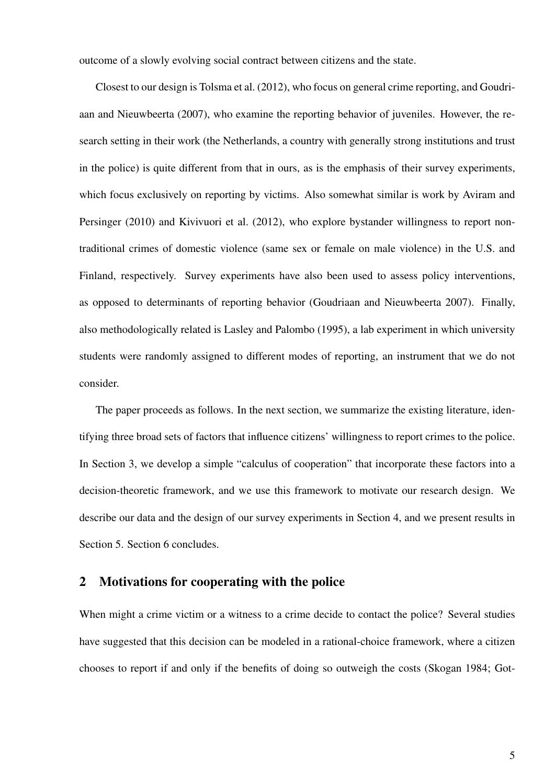outcome of a slowly evolving social contract between citizens and the state.

Closest to our design is Tolsma et al. (2012), who focus on general crime reporting, and Goudriaan and Nieuwbeerta (2007), who examine the reporting behavior of juveniles. However, the research setting in their work (the Netherlands, a country with generally strong institutions and trust in the police) is quite different from that in ours, as is the emphasis of their survey experiments, which focus exclusively on reporting by victims. Also somewhat similar is work by Aviram and Persinger (2010) and Kivivuori et al. (2012), who explore bystander willingness to report nontraditional crimes of domestic violence (same sex or female on male violence) in the U.S. and Finland, respectively. Survey experiments have also been used to assess policy interventions, as opposed to determinants of reporting behavior (Goudriaan and Nieuwbeerta 2007). Finally, also methodologically related is Lasley and Palombo (1995), a lab experiment in which university students were randomly assigned to different modes of reporting, an instrument that we do not consider.

The paper proceeds as follows. In the next section, we summarize the existing literature, identifying three broad sets of factors that influence citizens' willingness to report crimes to the police. In Section 3, we develop a simple "calculus of cooperation" that incorporate these factors into a decision-theoretic framework, and we use this framework to motivate our research design. We describe our data and the design of our survey experiments in Section 4, and we present results in Section 5. Section 6 concludes.

### 2 Motivations for cooperating with the police

When might a crime victim or a witness to a crime decide to contact the police? Several studies have suggested that this decision can be modeled in a rational-choice framework, where a citizen chooses to report if and only if the benefits of doing so outweigh the costs (Skogan 1984; Got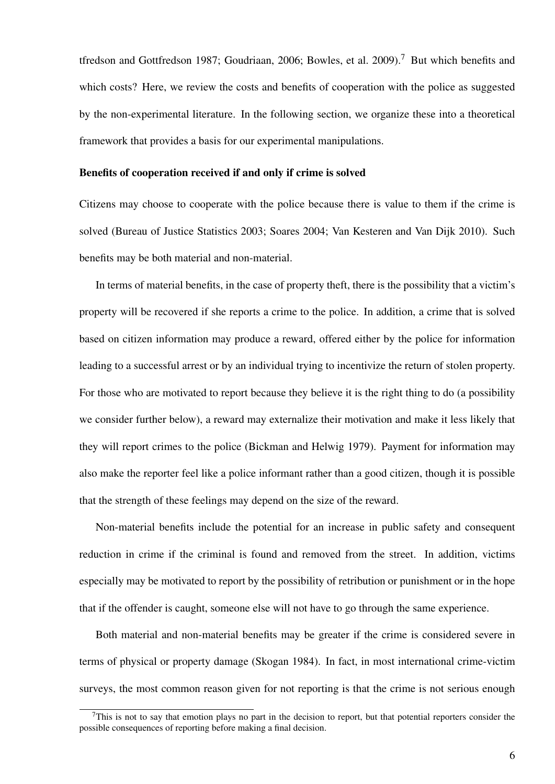tfredson and Gottfredson 1987; Goudriaan, 2006; Bowles, et al. 2009).<sup>7</sup> But which benefits and which costs? Here, we review the costs and benefits of cooperation with the police as suggested by the non-experimental literature. In the following section, we organize these into a theoretical framework that provides a basis for our experimental manipulations.

#### Benefits of cooperation received if and only if crime is solved

Citizens may choose to cooperate with the police because there is value to them if the crime is solved (Bureau of Justice Statistics 2003; Soares 2004; Van Kesteren and Van Dijk 2010). Such benefits may be both material and non-material.

In terms of material benefits, in the case of property theft, there is the possibility that a victim's property will be recovered if she reports a crime to the police. In addition, a crime that is solved based on citizen information may produce a reward, offered either by the police for information leading to a successful arrest or by an individual trying to incentivize the return of stolen property. For those who are motivated to report because they believe it is the right thing to do (a possibility we consider further below), a reward may externalize their motivation and make it less likely that they will report crimes to the police (Bickman and Helwig 1979). Payment for information may also make the reporter feel like a police informant rather than a good citizen, though it is possible that the strength of these feelings may depend on the size of the reward.

Non-material benefits include the potential for an increase in public safety and consequent reduction in crime if the criminal is found and removed from the street. In addition, victims especially may be motivated to report by the possibility of retribution or punishment or in the hope that if the offender is caught, someone else will not have to go through the same experience.

Both material and non-material benefits may be greater if the crime is considered severe in terms of physical or property damage (Skogan 1984). In fact, in most international crime-victim surveys, the most common reason given for not reporting is that the crime is not serious enough

 $<sup>7</sup>$ This is not to say that emotion plays no part in the decision to report, but that potential reporters consider the</sup> possible consequences of reporting before making a final decision.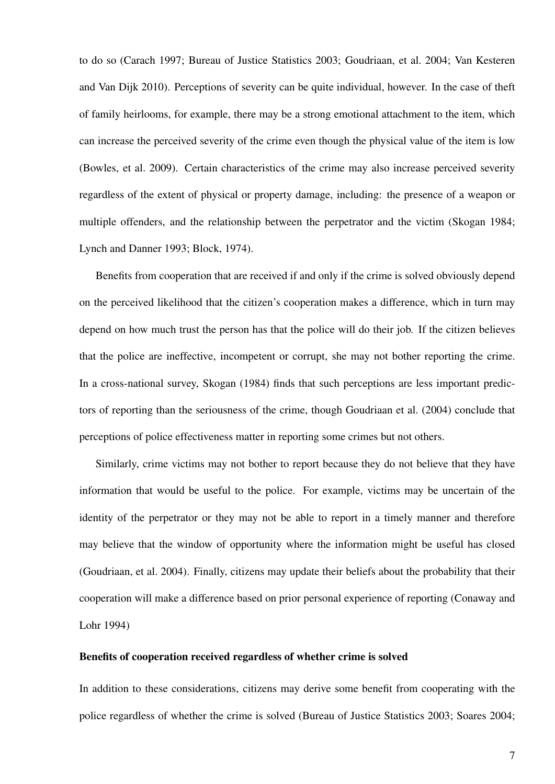to do so (Carach 1997; Bureau of Justice Statistics 2003; Goudriaan, et al. 2004; Van Kesteren and Van Dijk 2010). Perceptions of severity can be quite individual, however. In the case of theft of family heirlooms, for example, there may be a strong emotional attachment to the item, which can increase the perceived severity of the crime even though the physical value of the item is low (Bowles, et al. 2009). Certain characteristics of the crime may also increase perceived severity regardless of the extent of physical or property damage, including: the presence of a weapon or multiple offenders, and the relationship between the perpetrator and the victim (Skogan 1984; Lynch and Danner 1993; Block, 1974).

Benefits from cooperation that are received if and only if the crime is solved obviously depend on the perceived likelihood that the citizen's cooperation makes a difference, which in turn may depend on how much trust the person has that the police will do their job. If the citizen believes that the police are ineffective, incompetent or corrupt, she may not bother reporting the crime. In a cross-national survey, Skogan (1984) finds that such perceptions are less important predictors of reporting than the seriousness of the crime, though Goudriaan et al. (2004) conclude that perceptions of police effectiveness matter in reporting some crimes but not others.

Similarly, crime victims may not bother to report because they do not believe that they have information that would be useful to the police. For example, victims may be uncertain of the identity of the perpetrator or they may not be able to report in a timely manner and therefore may believe that the window of opportunity where the information might be useful has closed (Goudriaan, et al. 2004). Finally, citizens may update their beliefs about the probability that their cooperation will make a difference based on prior personal experience of reporting (Conaway and Lohr 1994)

#### Benefits of cooperation received regardless of whether crime is solved

In addition to these considerations, citizens may derive some benefit from cooperating with the police regardless of whether the crime is solved (Bureau of Justice Statistics 2003; Soares 2004;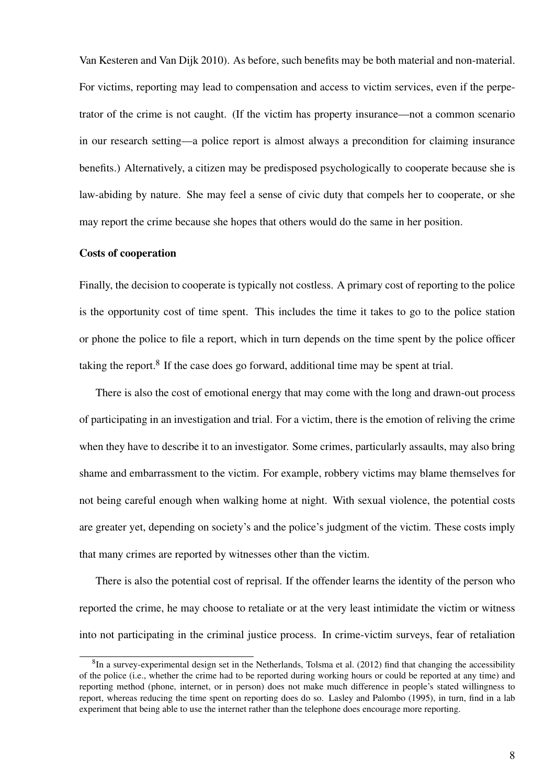Van Kesteren and Van Dijk 2010). As before, such benefits may be both material and non-material. For victims, reporting may lead to compensation and access to victim services, even if the perpetrator of the crime is not caught. (If the victim has property insurance—not a common scenario in our research setting—a police report is almost always a precondition for claiming insurance benefits.) Alternatively, a citizen may be predisposed psychologically to cooperate because she is law-abiding by nature. She may feel a sense of civic duty that compels her to cooperate, or she may report the crime because she hopes that others would do the same in her position.

#### Costs of cooperation

Finally, the decision to cooperate is typically not costless. A primary cost of reporting to the police is the opportunity cost of time spent. This includes the time it takes to go to the police station or phone the police to file a report, which in turn depends on the time spent by the police officer taking the report. $8$  If the case does go forward, additional time may be spent at trial.

There is also the cost of emotional energy that may come with the long and drawn-out process of participating in an investigation and trial. For a victim, there is the emotion of reliving the crime when they have to describe it to an investigator. Some crimes, particularly assaults, may also bring shame and embarrassment to the victim. For example, robbery victims may blame themselves for not being careful enough when walking home at night. With sexual violence, the potential costs are greater yet, depending on society's and the police's judgment of the victim. These costs imply that many crimes are reported by witnesses other than the victim.

There is also the potential cost of reprisal. If the offender learns the identity of the person who reported the crime, he may choose to retaliate or at the very least intimidate the victim or witness into not participating in the criminal justice process. In crime-victim surveys, fear of retaliation

 ${}^{8}$ In a survey-experimental design set in the Netherlands, Tolsma et al. (2012) find that changing the accessibility of the police (i.e., whether the crime had to be reported during working hours or could be reported at any time) and reporting method (phone, internet, or in person) does not make much difference in people's stated willingness to report, whereas reducing the time spent on reporting does do so. Lasley and Palombo (1995), in turn, find in a lab experiment that being able to use the internet rather than the telephone does encourage more reporting.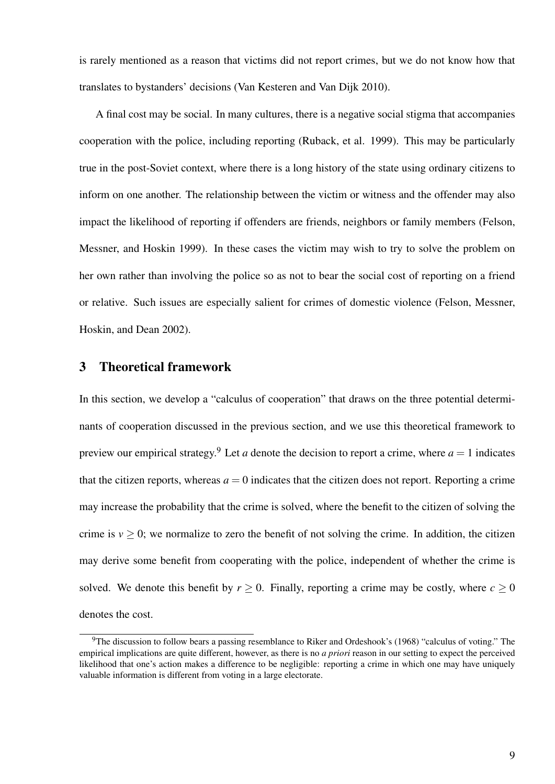is rarely mentioned as a reason that victims did not report crimes, but we do not know how that translates to bystanders' decisions (Van Kesteren and Van Dijk 2010).

A final cost may be social. In many cultures, there is a negative social stigma that accompanies cooperation with the police, including reporting (Ruback, et al. 1999). This may be particularly true in the post-Soviet context, where there is a long history of the state using ordinary citizens to inform on one another. The relationship between the victim or witness and the offender may also impact the likelihood of reporting if offenders are friends, neighbors or family members (Felson, Messner, and Hoskin 1999). In these cases the victim may wish to try to solve the problem on her own rather than involving the police so as not to bear the social cost of reporting on a friend or relative. Such issues are especially salient for crimes of domestic violence (Felson, Messner, Hoskin, and Dean 2002).

### 3 Theoretical framework

In this section, we develop a "calculus of cooperation" that draws on the three potential determinants of cooperation discussed in the previous section, and we use this theoretical framework to preview our empirical strategy.<sup>9</sup> Let *a* denote the decision to report a crime, where  $a = 1$  indicates that the citizen reports, whereas  $a = 0$  indicates that the citizen does not report. Reporting a crime may increase the probability that the crime is solved, where the benefit to the citizen of solving the crime is  $v \ge 0$ ; we normalize to zero the benefit of not solving the crime. In addition, the citizen may derive some benefit from cooperating with the police, independent of whether the crime is solved. We denote this benefit by  $r > 0$ . Finally, reporting a crime may be costly, where  $c > 0$ denotes the cost.

<sup>&</sup>lt;sup>9</sup>The discussion to follow bears a passing resemblance to Riker and Ordeshook's (1968) "calculus of voting." The empirical implications are quite different, however, as there is no *a priori* reason in our setting to expect the perceived likelihood that one's action makes a difference to be negligible: reporting a crime in which one may have uniquely valuable information is different from voting in a large electorate.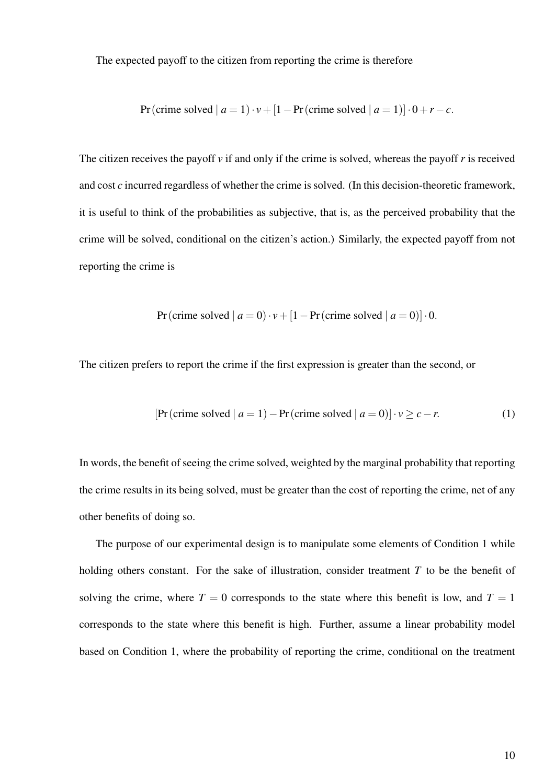The expected payoff to the citizen from reporting the crime is therefore

Pr(crime solved | 
$$
a = 1
$$
)  $\cdot$   $\nu$  + [1 – Pr(crime solved |  $a = 1$ )]  $\cdot$  0 +  $r$  –  $c$ .

The citizen receives the payoff *v* if and only if the crime is solved, whereas the payoff *r* is received and cost *c* incurred regardless of whether the crime is solved. (In this decision-theoretic framework, it is useful to think of the probabilities as subjective, that is, as the perceived probability that the crime will be solved, conditional on the citizen's action.) Similarly, the expected payoff from not reporting the crime is

$$
Pr(crime solved \mid a = 0) \cdot v + [1 - Pr(crime solved \mid a = 0)] \cdot 0.
$$

The citizen prefers to report the crime if the first expression is greater than the second, or

$$
[\Pr(\text{ crime solved} \mid a=1) - \Pr(\text{ crime solved} \mid a=0)] \cdot v \ge c - r. \tag{1}
$$

In words, the benefit of seeing the crime solved, weighted by the marginal probability that reporting the crime results in its being solved, must be greater than the cost of reporting the crime, net of any other benefits of doing so.

The purpose of our experimental design is to manipulate some elements of Condition 1 while holding others constant. For the sake of illustration, consider treatment *T* to be the benefit of solving the crime, where  $T = 0$  corresponds to the state where this benefit is low, and  $T = 1$ corresponds to the state where this benefit is high. Further, assume a linear probability model based on Condition 1, where the probability of reporting the crime, conditional on the treatment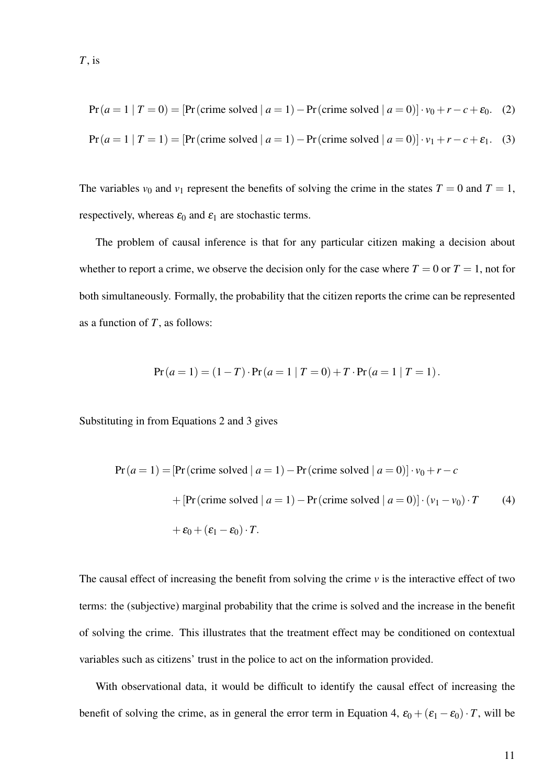$$
Pr (a = 1 | T = 0) = [Pr (prime solved | a = 1) - Pr (prime solved | a = 0)] \cdot v_0 + r - c + \varepsilon_0. \tag{2}
$$

$$
Pr(a=1 | T=1) = [Pr(crime solved | a=1) - Pr(crime solved | a=0)] \cdot v_1 + r - c + \varepsilon_1. \quad (3)
$$

The variables  $v_0$  and  $v_1$  represent the benefits of solving the crime in the states  $T = 0$  and  $T = 1$ , respectively, whereas  $\varepsilon_0$  and  $\varepsilon_1$  are stochastic terms.

The problem of causal inference is that for any particular citizen making a decision about whether to report a crime, we observe the decision only for the case where  $T = 0$  or  $T = 1$ , not for both simultaneously. Formally, the probability that the citizen reports the crime can be represented as a function of *T*, as follows:

$$
Pr(a=1) = (1 - T) \cdot Pr(a=1 | T = 0) + T \cdot Pr(a=1 | T = 1).
$$

Substituting in from Equations 2 and 3 gives

$$
Pr(a=1) = [Pr(crime solved | a=1) - Pr(crime solved | a=0)] \cdot v_0 + r - c
$$
  
+ [Pr(crime solved | a=1) - Pr(crime solved | a=0)] \cdot (v\_1 - v\_0) \cdot T \t(4)  
+  $\varepsilon_0 + (\varepsilon_1 - \varepsilon_0) \cdot T$ .

The causal effect of increasing the benefit from solving the crime *v* is the interactive effect of two terms: the (subjective) marginal probability that the crime is solved and the increase in the benefit of solving the crime. This illustrates that the treatment effect may be conditioned on contextual variables such as citizens' trust in the police to act on the information provided.

With observational data, it would be difficult to identify the causal effect of increasing the benefit of solving the crime, as in general the error term in Equation 4,  $\varepsilon_0 + (\varepsilon_1 - \varepsilon_0) \cdot T$ , will be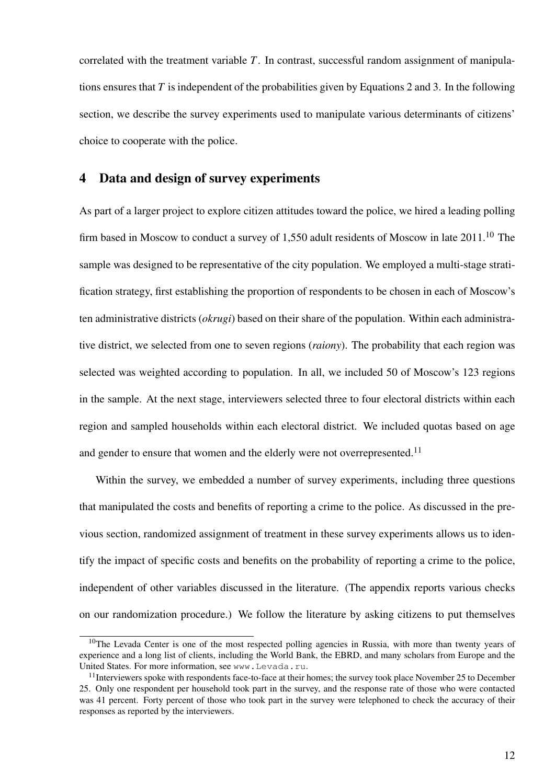correlated with the treatment variable *T*. In contrast, successful random assignment of manipulations ensures that *T* is independent of the probabilities given by Equations 2 and 3. In the following section, we describe the survey experiments used to manipulate various determinants of citizens' choice to cooperate with the police.

### 4 Data and design of survey experiments

As part of a larger project to explore citizen attitudes toward the police, we hired a leading polling firm based in Moscow to conduct a survey of 1,550 adult residents of Moscow in late  $2011$ .<sup>10</sup> The sample was designed to be representative of the city population. We employed a multi-stage stratification strategy, first establishing the proportion of respondents to be chosen in each of Moscow's ten administrative districts (*okrugi*) based on their share of the population. Within each administrative district, we selected from one to seven regions (*raiony*). The probability that each region was selected was weighted according to population. In all, we included 50 of Moscow's 123 regions in the sample. At the next stage, interviewers selected three to four electoral districts within each region and sampled households within each electoral district. We included quotas based on age and gender to ensure that women and the elderly were not overrepresented.<sup>11</sup>

Within the survey, we embedded a number of survey experiments, including three questions that manipulated the costs and benefits of reporting a crime to the police. As discussed in the previous section, randomized assignment of treatment in these survey experiments allows us to identify the impact of specific costs and benefits on the probability of reporting a crime to the police, independent of other variables discussed in the literature. (The appendix reports various checks on our randomization procedure.) We follow the literature by asking citizens to put themselves

 $10$ The Levada Center is one of the most respected polling agencies in Russia, with more than twenty years of experience and a long list of clients, including the World Bank, the EBRD, and many scholars from Europe and the United States. For more information, see www.Levada.ru.

<sup>&</sup>lt;sup>11</sup>Interviewers spoke with respondents face-to-face at their homes; the survey took place November 25 to December 25. Only one respondent per household took part in the survey, and the response rate of those who were contacted was 41 percent. Forty percent of those who took part in the survey were telephoned to check the accuracy of their responses as reported by the interviewers.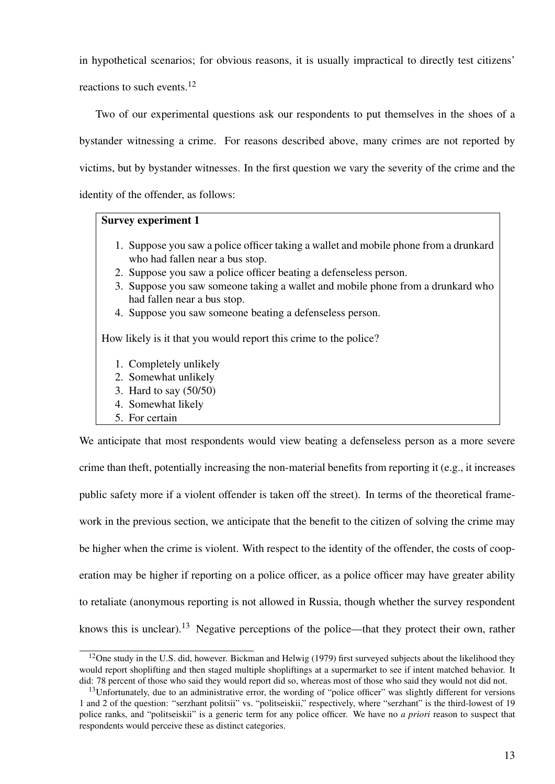in hypothetical scenarios; for obvious reasons, it is usually impractical to directly test citizens' reactions to such events.<sup>12</sup>

Two of our experimental questions ask our respondents to put themselves in the shoes of a bystander witnessing a crime. For reasons described above, many crimes are not reported by victims, but by bystander witnesses. In the first question we vary the severity of the crime and the identity of the offender, as follows:

#### Survey experiment 1

- 1. Suppose you saw a police officer taking a wallet and mobile phone from a drunkard who had fallen near a bus stop.
- 2. Suppose you saw a police officer beating a defenseless person.
- 3. Suppose you saw someone taking a wallet and mobile phone from a drunkard who had fallen near a bus stop.
- 4. Suppose you saw someone beating a defenseless person.

How likely is it that you would report this crime to the police?

- 1. Completely unlikely
- 2. Somewhat unlikely
- 3. Hard to say (50/50)
- 4. Somewhat likely
- 5. For certain

We anticipate that most respondents would view beating a defenseless person as a more severe crime than theft, potentially increasing the non-material benefits from reporting it (e.g., it increases public safety more if a violent offender is taken off the street). In terms of the theoretical framework in the previous section, we anticipate that the benefit to the citizen of solving the crime may be higher when the crime is violent. With respect to the identity of the offender, the costs of cooperation may be higher if reporting on a police officer, as a police officer may have greater ability to retaliate (anonymous reporting is not allowed in Russia, though whether the survey respondent knows this is unclear).<sup>13</sup> Negative perceptions of the police—that they protect their own, rather

<sup>&</sup>lt;sup>12</sup>One study in the U.S. did, however. Bickman and Helwig (1979) first surveyed subjects about the likelihood they would report shoplifting and then staged multiple shopliftings at a supermarket to see if intent matched behavior. It did: 78 percent of those who said they would report did so, whereas most of those who said they would not did not.

<sup>&</sup>lt;sup>13</sup>Unfortunately, due to an administrative error, the wording of "police officer" was slightly different for versions 1 and 2 of the question: "serzhant politsii" vs. "politseiskii," respectively, where "serzhant" is the third-lowest of 19 police ranks, and "politseiskii" is a generic term for any police officer. We have no *a priori* reason to suspect that respondents would perceive these as distinct categories.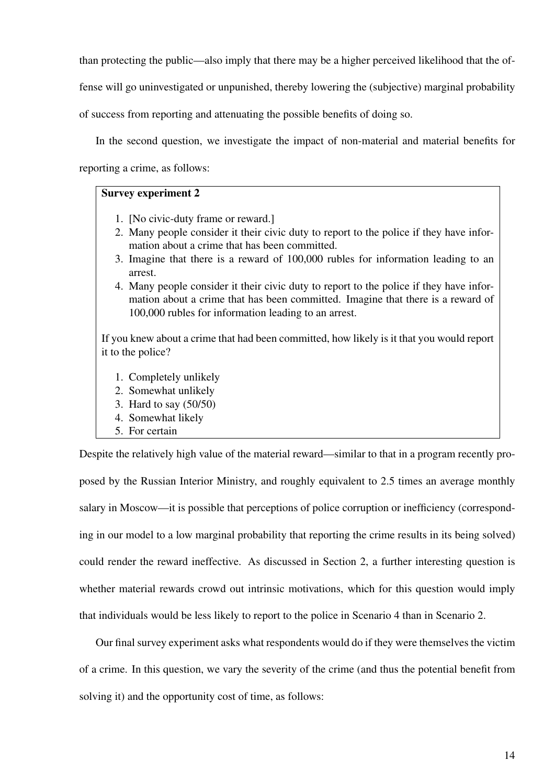than protecting the public—also imply that there may be a higher perceived likelihood that the of-

fense will go uninvestigated or unpunished, thereby lowering the (subjective) marginal probability

of success from reporting and attenuating the possible benefits of doing so.

In the second question, we investigate the impact of non-material and material benefits for reporting a crime, as follows:

#### Survey experiment 2

- 1. [No civic-duty frame or reward.]
- 2. Many people consider it their civic duty to report to the police if they have information about a crime that has been committed.
- 3. Imagine that there is a reward of 100,000 rubles for information leading to an arrest.
- 4. Many people consider it their civic duty to report to the police if they have information about a crime that has been committed. Imagine that there is a reward of 100,000 rubles for information leading to an arrest.

If you knew about a crime that had been committed, how likely is it that you would report it to the police?

- 1. Completely unlikely
- 2. Somewhat unlikely
- 3. Hard to say (50/50)
- 4. Somewhat likely
- 5. For certain

Despite the relatively high value of the material reward—similar to that in a program recently proposed by the Russian Interior Ministry, and roughly equivalent to 2.5 times an average monthly salary in Moscow—it is possible that perceptions of police corruption or inefficiency (corresponding in our model to a low marginal probability that reporting the crime results in its being solved) could render the reward ineffective. As discussed in Section 2, a further interesting question is whether material rewards crowd out intrinsic motivations, which for this question would imply that individuals would be less likely to report to the police in Scenario 4 than in Scenario 2.

Our final survey experiment asks what respondents would do if they were themselves the victim of a crime. In this question, we vary the severity of the crime (and thus the potential benefit from solving it) and the opportunity cost of time, as follows: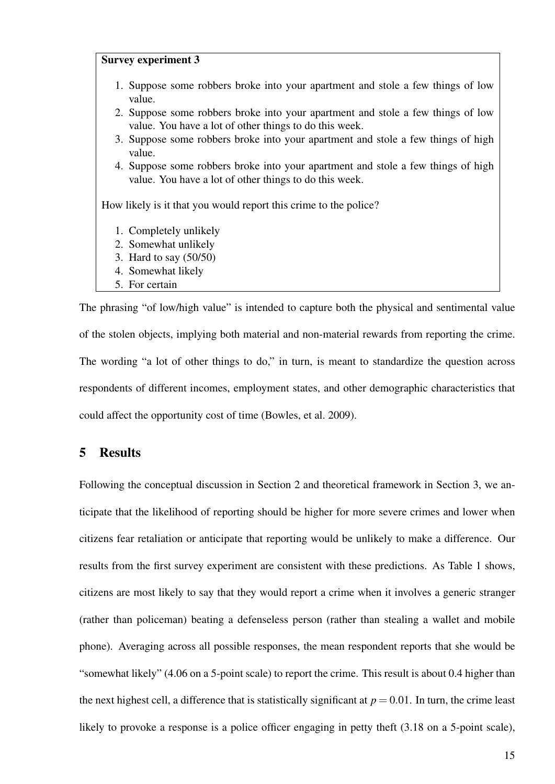#### Survey experiment 3

- 1. Suppose some robbers broke into your apartment and stole a few things of low value.
- 2. Suppose some robbers broke into your apartment and stole a few things of low value. You have a lot of other things to do this week.
- 3. Suppose some robbers broke into your apartment and stole a few things of high value.
- 4. Suppose some robbers broke into your apartment and stole a few things of high value. You have a lot of other things to do this week.

How likely is it that you would report this crime to the police?

- 1. Completely unlikely
- 2. Somewhat unlikely
- 3. Hard to say (50/50)
- 4. Somewhat likely
- 5. For certain

The phrasing "of low/high value" is intended to capture both the physical and sentimental value of the stolen objects, implying both material and non-material rewards from reporting the crime. The wording "a lot of other things to do," in turn, is meant to standardize the question across respondents of different incomes, employment states, and other demographic characteristics that could affect the opportunity cost of time (Bowles, et al. 2009).

### 5 Results

Following the conceptual discussion in Section 2 and theoretical framework in Section 3, we anticipate that the likelihood of reporting should be higher for more severe crimes and lower when citizens fear retaliation or anticipate that reporting would be unlikely to make a difference. Our results from the first survey experiment are consistent with these predictions. As Table 1 shows, citizens are most likely to say that they would report a crime when it involves a generic stranger (rather than policeman) beating a defenseless person (rather than stealing a wallet and mobile phone). Averaging across all possible responses, the mean respondent reports that she would be "somewhat likely" (4.06 on a 5-point scale) to report the crime. This result is about 0.4 higher than the next highest cell, a difference that is statistically significant at  $p = 0.01$ . In turn, the crime least likely to provoke a response is a police officer engaging in petty theft  $(3.18 \text{ on a 5-point scale})$ ,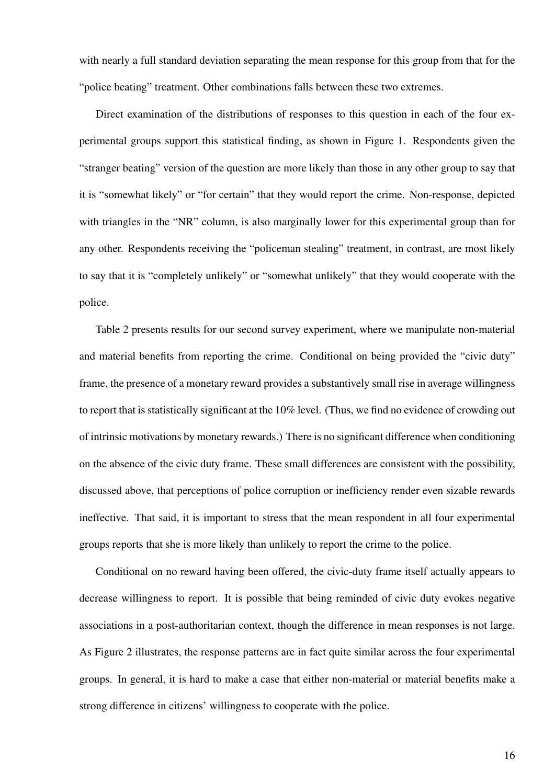with nearly a full standard deviation separating the mean response for this group from that for the "police beating" treatment. Other combinations falls between these two extremes.

Direct examination of the distributions of responses to this question in each of the four experimental groups support this statistical finding, as shown in Figure 1. Respondents given the "stranger beating" version of the question are more likely than those in any other group to say that it is "somewhat likely" or "for certain" that they would report the crime. Non-response, depicted with triangles in the "NR" column, is also marginally lower for this experimental group than for any other. Respondents receiving the "policeman stealing" treatment, in contrast, are most likely to say that it is "completely unlikely" or "somewhat unlikely" that they would cooperate with the police.

Table 2 presents results for our second survey experiment, where we manipulate non-material and material benefits from reporting the crime. Conditional on being provided the "civic duty" frame, the presence of a monetary reward provides a substantively small rise in average willingness to report that is statistically significant at the 10% level. (Thus, we find no evidence of crowding out of intrinsic motivations by monetary rewards.) There is no significant difference when conditioning on the absence of the civic duty frame. These small differences are consistent with the possibility, discussed above, that perceptions of police corruption or inefficiency render even sizable rewards ineffective. That said, it is important to stress that the mean respondent in all four experimental groups reports that she is more likely than unlikely to report the crime to the police.

Conditional on no reward having been offered, the civic-duty frame itself actually appears to decrease willingness to report. It is possible that being reminded of civic duty evokes negative associations in a post-authoritarian context, though the difference in mean responses is not large. As Figure 2 illustrates, the response patterns are in fact quite similar across the four experimental groups. In general, it is hard to make a case that either non-material or material benefits make a strong difference in citizens' willingness to cooperate with the police.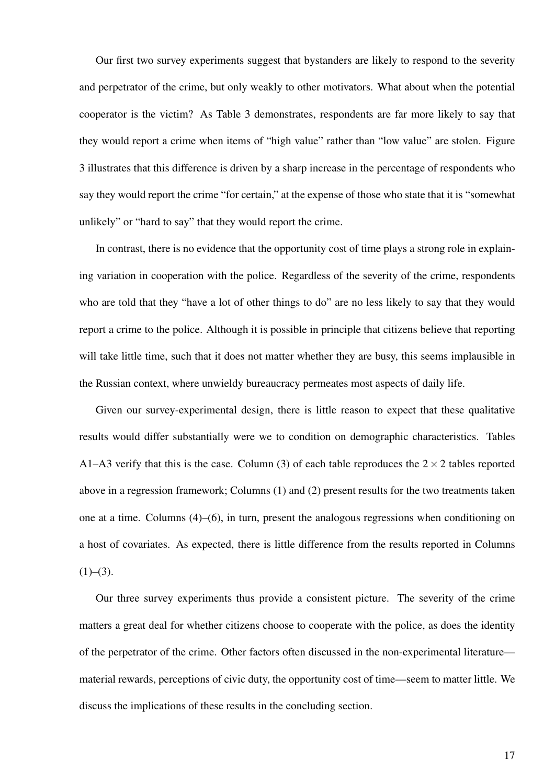Our first two survey experiments suggest that bystanders are likely to respond to the severity and perpetrator of the crime, but only weakly to other motivators. What about when the potential cooperator is the victim? As Table 3 demonstrates, respondents are far more likely to say that they would report a crime when items of "high value" rather than "low value" are stolen. Figure 3 illustrates that this difference is driven by a sharp increase in the percentage of respondents who say they would report the crime "for certain," at the expense of those who state that it is "somewhat unlikely" or "hard to say" that they would report the crime.

In contrast, there is no evidence that the opportunity cost of time plays a strong role in explaining variation in cooperation with the police. Regardless of the severity of the crime, respondents who are told that they "have a lot of other things to do" are no less likely to say that they would report a crime to the police. Although it is possible in principle that citizens believe that reporting will take little time, such that it does not matter whether they are busy, this seems implausible in the Russian context, where unwieldy bureaucracy permeates most aspects of daily life.

Given our survey-experimental design, there is little reason to expect that these qualitative results would differ substantially were we to condition on demographic characteristics. Tables A1–A3 verify that this is the case. Column (3) of each table reproduces the  $2 \times 2$  tables reported above in a regression framework; Columns (1) and (2) present results for the two treatments taken one at a time. Columns  $(4)$ – $(6)$ , in turn, present the analogous regressions when conditioning on a host of covariates. As expected, there is little difference from the results reported in Columns  $(1)–(3)$ .

Our three survey experiments thus provide a consistent picture. The severity of the crime matters a great deal for whether citizens choose to cooperate with the police, as does the identity of the perpetrator of the crime. Other factors often discussed in the non-experimental literature material rewards, perceptions of civic duty, the opportunity cost of time—seem to matter little. We discuss the implications of these results in the concluding section.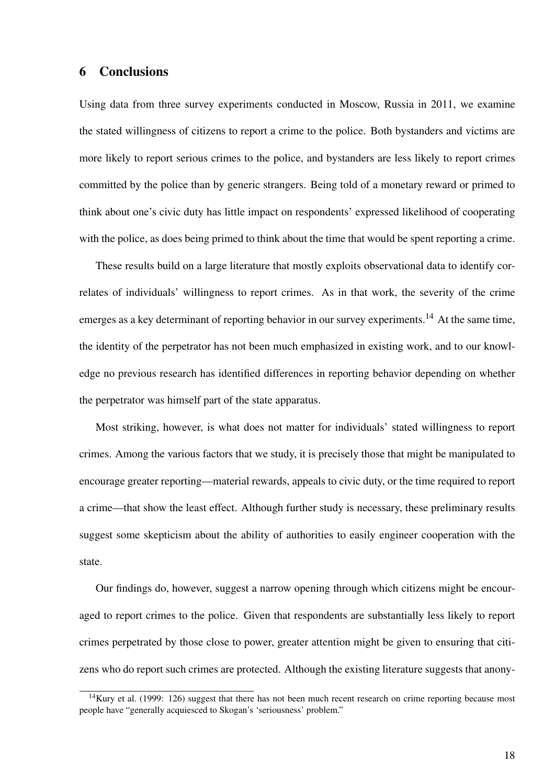### 6 Conclusions

Using data from three survey experiments conducted in Moscow, Russia in 2011, we examine the stated willingness of citizens to report a crime to the police. Both bystanders and victims are more likely to report serious crimes to the police, and bystanders are less likely to report crimes committed by the police than by generic strangers. Being told of a monetary reward or primed to think about one's civic duty has little impact on respondents' expressed likelihood of cooperating with the police, as does being primed to think about the time that would be spent reporting a crime.

These results build on a large literature that mostly exploits observational data to identify correlates of individuals' willingness to report crimes. As in that work, the severity of the crime emerges as a key determinant of reporting behavior in our survey experiments.<sup>14</sup> At the same time, the identity of the perpetrator has not been much emphasized in existing work, and to our knowledge no previous research has identified differences in reporting behavior depending on whether the perpetrator was himself part of the state apparatus.

Most striking, however, is what does not matter for individuals' stated willingness to report crimes. Among the various factors that we study, it is precisely those that might be manipulated to encourage greater reporting—material rewards, appeals to civic duty, or the time required to report a crime—that show the least effect. Although further study is necessary, these preliminary results suggest some skepticism about the ability of authorities to easily engineer cooperation with the state.

Our findings do, however, suggest a narrow opening through which citizens might be encouraged to report crimes to the police. Given that respondents are substantially less likely to report crimes perpetrated by those close to power, greater attention might be given to ensuring that citizens who do report such crimes are protected. Although the existing literature suggests that anony-

 $14$ Kury et al. (1999: 126) suggest that there has not been much recent research on crime reporting because most people have "generally acquiesced to Skogan's 'seriousness' problem."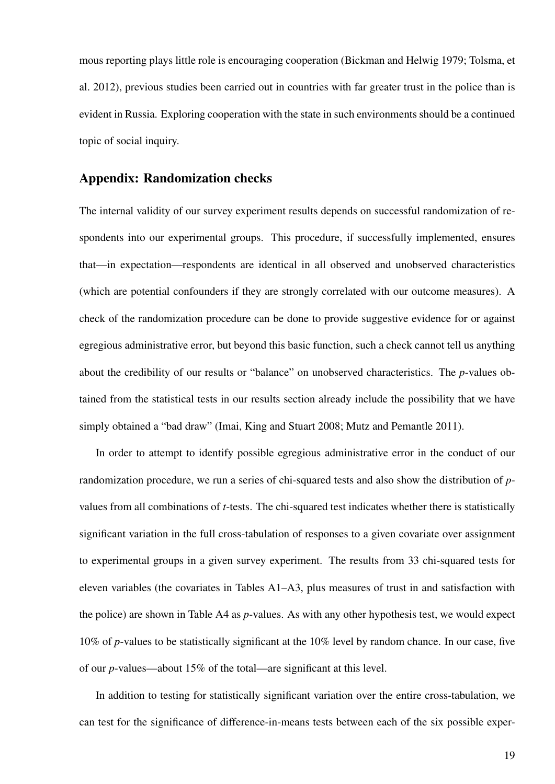mous reporting plays little role is encouraging cooperation (Bickman and Helwig 1979; Tolsma, et al. 2012), previous studies been carried out in countries with far greater trust in the police than is evident in Russia. Exploring cooperation with the state in such environments should be a continued topic of social inquiry.

## Appendix: Randomization checks

The internal validity of our survey experiment results depends on successful randomization of respondents into our experimental groups. This procedure, if successfully implemented, ensures that—in expectation—respondents are identical in all observed and unobserved characteristics (which are potential confounders if they are strongly correlated with our outcome measures). A check of the randomization procedure can be done to provide suggestive evidence for or against egregious administrative error, but beyond this basic function, such a check cannot tell us anything about the credibility of our results or "balance" on unobserved characteristics. The *p*-values obtained from the statistical tests in our results section already include the possibility that we have simply obtained a "bad draw" (Imai, King and Stuart 2008; Mutz and Pemantle 2011).

In order to attempt to identify possible egregious administrative error in the conduct of our randomization procedure, we run a series of chi-squared tests and also show the distribution of *p*values from all combinations of *t*-tests. The chi-squared test indicates whether there is statistically significant variation in the full cross-tabulation of responses to a given covariate over assignment to experimental groups in a given survey experiment. The results from 33 chi-squared tests for eleven variables (the covariates in Tables A1–A3, plus measures of trust in and satisfaction with the police) are shown in Table A4 as *p*-values. As with any other hypothesis test, we would expect 10% of *p*-values to be statistically significant at the 10% level by random chance. In our case, five of our *p*-values—about 15% of the total—are significant at this level.

In addition to testing for statistically significant variation over the entire cross-tabulation, we can test for the significance of difference-in-means tests between each of the six possible exper-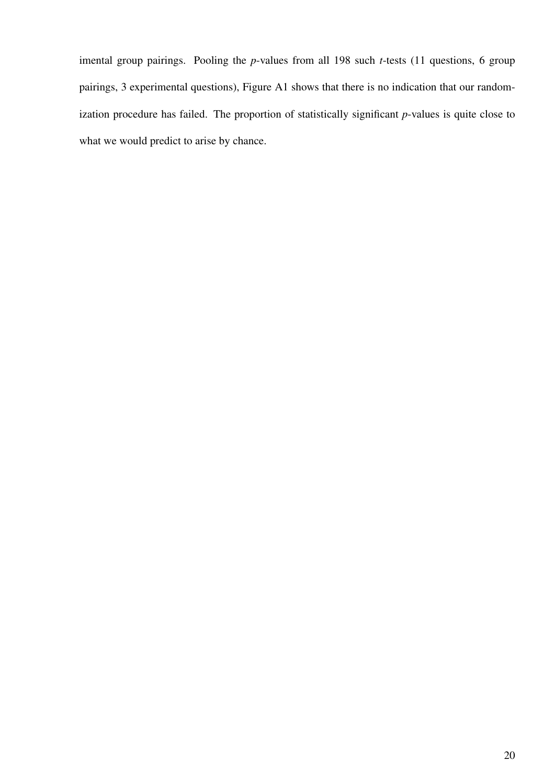imental group pairings. Pooling the *p*-values from all 198 such *t*-tests (11 questions, 6 group pairings, 3 experimental questions), Figure A1 shows that there is no indication that our randomization procedure has failed. The proportion of statistically significant *p*-values is quite close to what we would predict to arise by chance.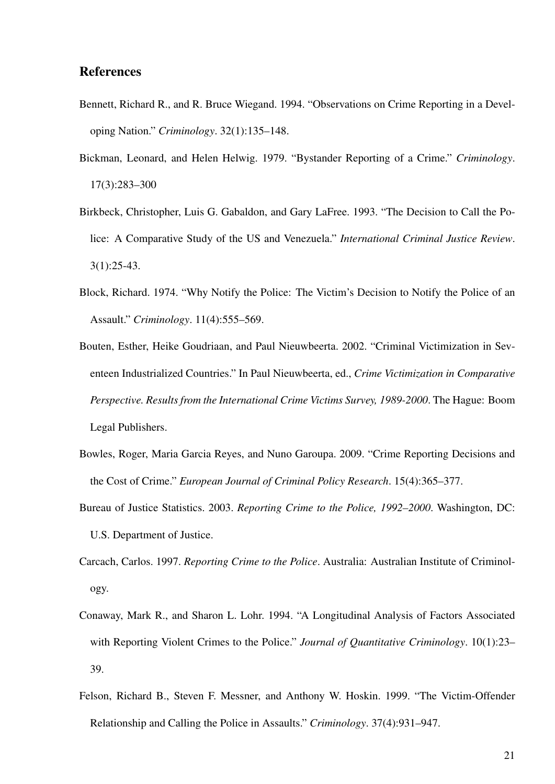## References

- Bennett, Richard R., and R. Bruce Wiegand. 1994. "Observations on Crime Reporting in a Developing Nation." *Criminology*. 32(1):135–148.
- Bickman, Leonard, and Helen Helwig. 1979. "Bystander Reporting of a Crime." *Criminology*. 17(3):283–300
- Birkbeck, Christopher, Luis G. Gabaldon, and Gary LaFree. 1993. "The Decision to Call the Police: A Comparative Study of the US and Venezuela." *International Criminal Justice Review*. 3(1):25-43.
- Block, Richard. 1974. "Why Notify the Police: The Victim's Decision to Notify the Police of an Assault." *Criminology*. 11(4):555–569.
- Bouten, Esther, Heike Goudriaan, and Paul Nieuwbeerta. 2002. "Criminal Victimization in Seventeen Industrialized Countries." In Paul Nieuwbeerta, ed., *Crime Victimization in Comparative Perspective. Results from the International Crime Victims Survey, 1989-2000*. The Hague: Boom Legal Publishers.
- Bowles, Roger, Maria Garcia Reyes, and Nuno Garoupa. 2009. "Crime Reporting Decisions and the Cost of Crime." *European Journal of Criminal Policy Research*. 15(4):365–377.
- Bureau of Justice Statistics. 2003. *Reporting Crime to the Police, 1992–2000*. Washington, DC: U.S. Department of Justice.
- Carcach, Carlos. 1997. *Reporting Crime to the Police*. Australia: Australian Institute of Criminology.
- Conaway, Mark R., and Sharon L. Lohr. 1994. "A Longitudinal Analysis of Factors Associated with Reporting Violent Crimes to the Police." *Journal of Quantitative Criminology*. 10(1):23– 39.
- Felson, Richard B., Steven F. Messner, and Anthony W. Hoskin. 1999. "The Victim-Offender Relationship and Calling the Police in Assaults." *Criminology*. 37(4):931–947.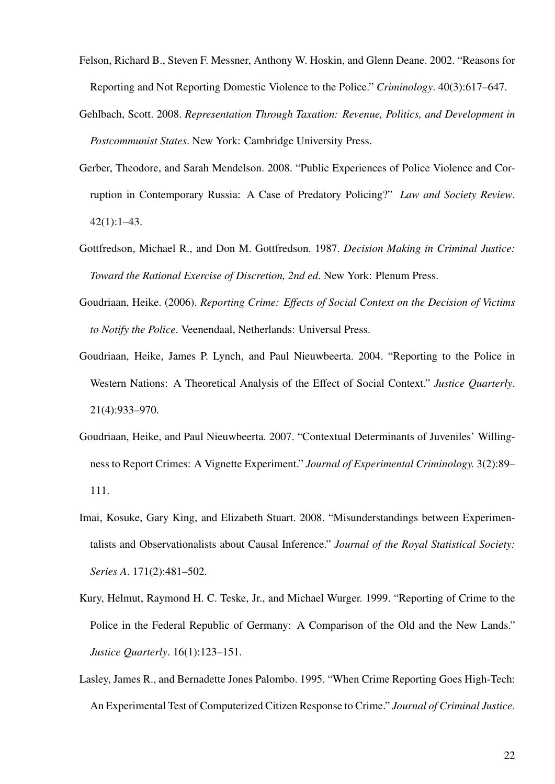- Felson, Richard B., Steven F. Messner, Anthony W. Hoskin, and Glenn Deane. 2002. "Reasons for Reporting and Not Reporting Domestic Violence to the Police." *Criminology*. 40(3):617–647.
- Gehlbach, Scott. 2008. *Representation Through Taxation: Revenue, Politics, and Development in Postcommunist States*. New York: Cambridge University Press.
- Gerber, Theodore, and Sarah Mendelson. 2008. "Public Experiences of Police Violence and Corruption in Contemporary Russia: A Case of Predatory Policing?" *Law and Society Review*.  $42(1):1-43.$
- Gottfredson, Michael R., and Don M. Gottfredson. 1987. *Decision Making in Criminal Justice: Toward the Rational Exercise of Discretion, 2nd ed*. New York: Plenum Press.
- Goudriaan, Heike. (2006). *Reporting Crime: Effects of Social Context on the Decision of Victims to Notify the Police*. Veenendaal, Netherlands: Universal Press.
- Goudriaan, Heike, James P. Lynch, and Paul Nieuwbeerta. 2004. "Reporting to the Police in Western Nations: A Theoretical Analysis of the Effect of Social Context." *Justice Quarterly*. 21(4):933–970.
- Goudriaan, Heike, and Paul Nieuwbeerta. 2007. "Contextual Determinants of Juveniles' Willingness to Report Crimes: A Vignette Experiment." *Journal of Experimental Criminology.* 3(2):89– 111.
- Imai, Kosuke, Gary King, and Elizabeth Stuart. 2008. "Misunderstandings between Experimentalists and Observationalists about Causal Inference." *Journal of the Royal Statistical Society: Series A*. 171(2):481–502.
- Kury, Helmut, Raymond H. C. Teske, Jr., and Michael Wurger. 1999. "Reporting of Crime to the Police in the Federal Republic of Germany: A Comparison of the Old and the New Lands." *Justice Quarterly*. 16(1):123–151.
- Lasley, James R., and Bernadette Jones Palombo. 1995. "When Crime Reporting Goes High-Tech: An Experimental Test of Computerized Citizen Response to Crime." *Journal of Criminal Justice*.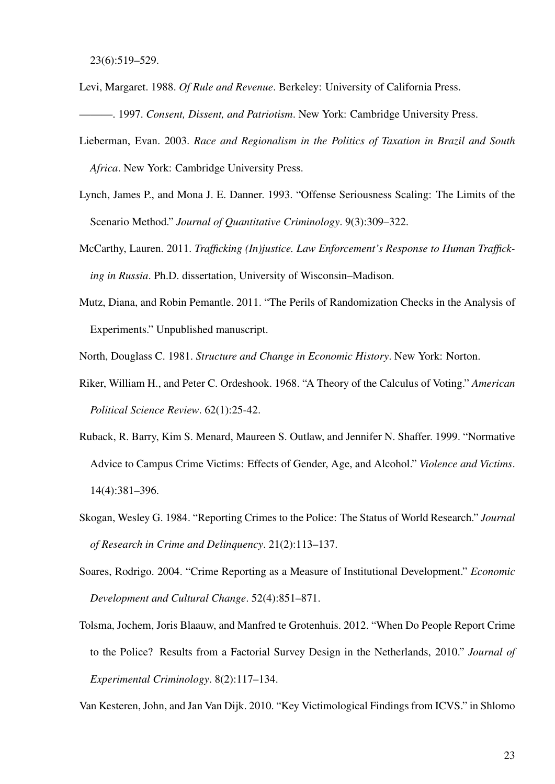- Levi, Margaret. 1988. *Of Rule and Revenue*. Berkeley: University of California Press.
- ———. 1997. *Consent, Dissent, and Patriotism*. New York: Cambridge University Press.
- Lieberman, Evan. 2003. *Race and Regionalism in the Politics of Taxation in Brazil and South Africa*. New York: Cambridge University Press.
- Lynch, James P., and Mona J. E. Danner. 1993. "Offense Seriousness Scaling: The Limits of the Scenario Method." *Journal of Quantitative Criminology*. 9(3):309–322.
- McCarthy, Lauren. 2011. *Trafficking (In)justice. Law Enforcement's Response to Human Trafficking in Russia*. Ph.D. dissertation, University of Wisconsin–Madison.
- Mutz, Diana, and Robin Pemantle. 2011. "The Perils of Randomization Checks in the Analysis of Experiments." Unpublished manuscript.

North, Douglass C. 1981. *Structure and Change in Economic History*. New York: Norton.

- Riker, William H., and Peter C. Ordeshook. 1968. "A Theory of the Calculus of Voting." *American Political Science Review*. 62(1):25-42.
- Ruback, R. Barry, Kim S. Menard, Maureen S. Outlaw, and Jennifer N. Shaffer. 1999. "Normative Advice to Campus Crime Victims: Effects of Gender, Age, and Alcohol." *Violence and Victims*. 14(4):381–396.
- Skogan, Wesley G. 1984. "Reporting Crimes to the Police: The Status of World Research." *Journal of Research in Crime and Delinquency*. 21(2):113–137.
- Soares, Rodrigo. 2004. "Crime Reporting as a Measure of Institutional Development." *Economic Development and Cultural Change*. 52(4):851–871.
- Tolsma, Jochem, Joris Blaauw, and Manfred te Grotenhuis. 2012. "When Do People Report Crime to the Police? Results from a Factorial Survey Design in the Netherlands, 2010." *Journal of Experimental Criminology*. 8(2):117–134.

Van Kesteren, John, and Jan Van Dijk. 2010. "Key Victimological Findings from ICVS." in Shlomo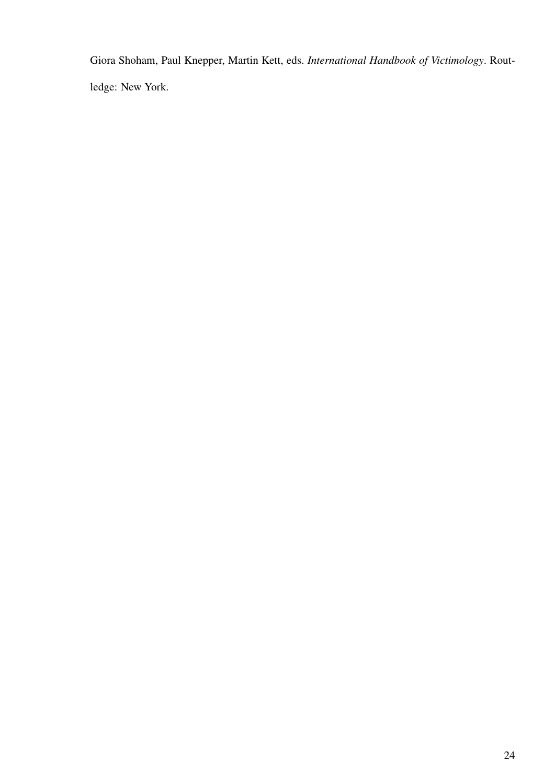Giora Shoham, Paul Knepper, Martin Kett, eds. *International Handbook of Victimology*. Routledge: New York.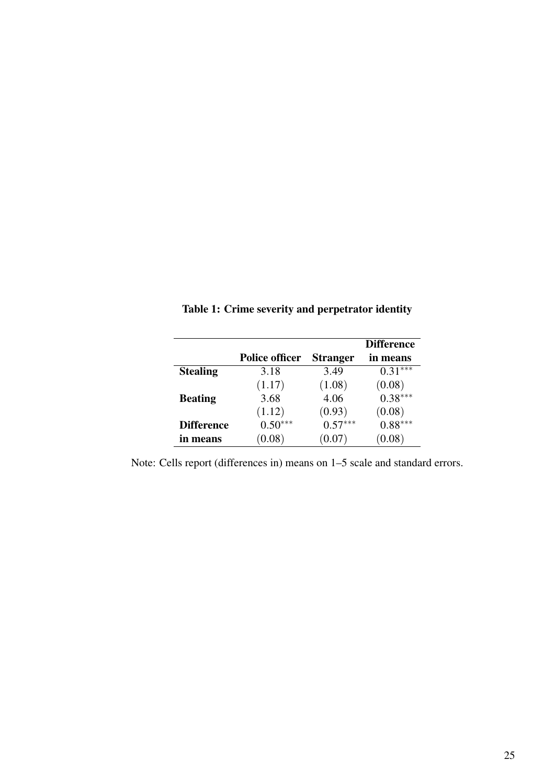|                   |                       |                 | <b>Difference</b> |
|-------------------|-----------------------|-----------------|-------------------|
|                   | <b>Police officer</b> | <b>Stranger</b> | in means          |
| <b>Stealing</b>   | 3.18                  | 3.49            | $0.31***$         |
|                   | (1.17)                | (1.08)          | (0.08)            |
| <b>Beating</b>    | 3.68                  | 4.06            | $0.38***$         |
|                   | (1.12)                | (0.93)          | (0.08)            |
| <b>Difference</b> | $0.50***$             | $0.57***$       | $0.88^{***}$      |
| in means          | (0.08)                | (0.07)          | 0.08)             |

Table 1: Crime severity and perpetrator identity

Note: Cells report (differences in) means on 1–5 scale and standard errors.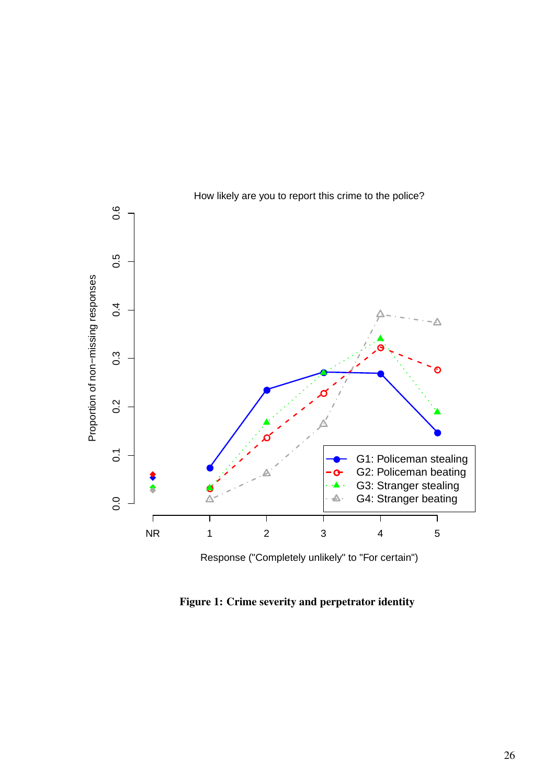

Figure 1: Crime severity and perpetrator identity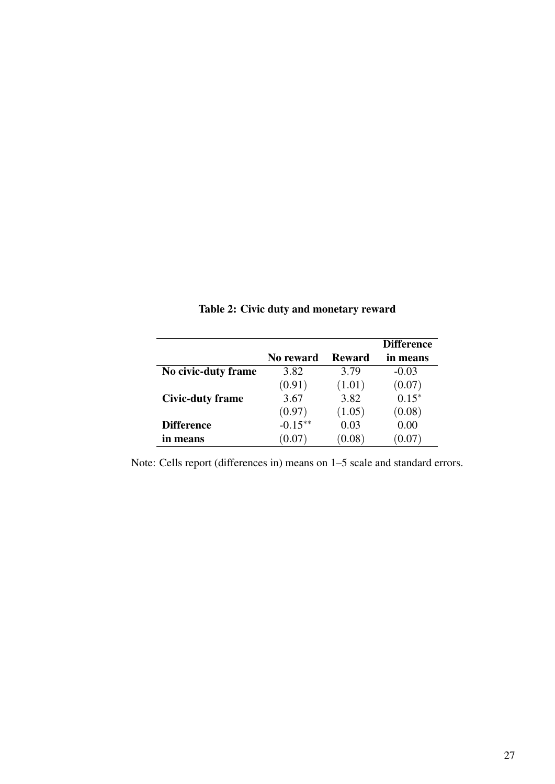|                         |            |               | <b>Difference</b> |
|-------------------------|------------|---------------|-------------------|
|                         | No reward  | <b>Reward</b> | in means          |
| No civic-duty frame     | 3.82       | 3.79          | $-0.03$           |
|                         | (0.91)     | (1.01)        | (0.07)            |
| <b>Civic-duty frame</b> | 3.67       | 3.82          | $0.15*$           |
|                         | (0.97)     | (1.05)        | (0.08)            |
| <b>Difference</b>       | $-0.15***$ | 0.03          | 0.00              |
| in means                | 0.07)      | 0.08          |                   |

Table 2: Civic duty and monetary reward

Note: Cells report (differences in) means on 1–5 scale and standard errors.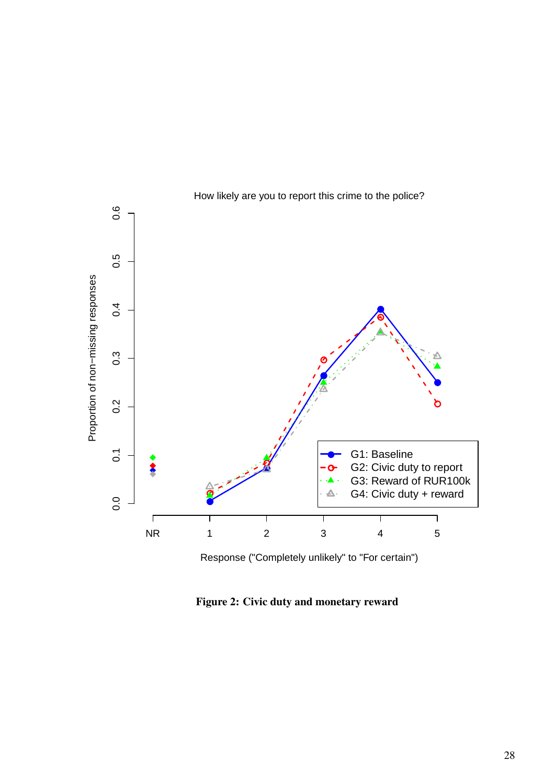

Figure 2: Civic duty and monetary reward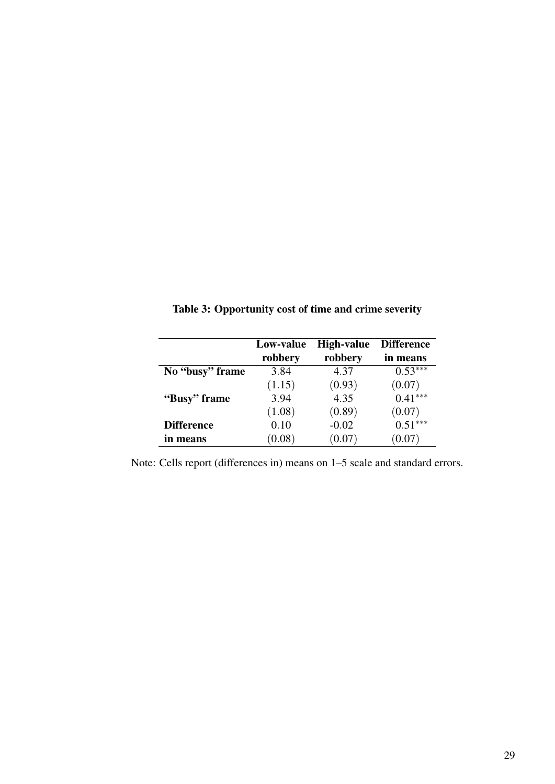|                   | Low-value | <b>High-value</b> | <b>Difference</b> |
|-------------------|-----------|-------------------|-------------------|
|                   | robbery   | robbery           | in means          |
| No "busy" frame   | 3.84      | 4.37              | $0.53***$         |
|                   | (1.15)    | (0.93)            | (0.07)            |
| "Busy" frame"     | 3.94      | 4.35              | $0.41***$         |
|                   | (1.08)    | (0.89)            | (0.07)            |
| <b>Difference</b> | 0.10      | $-0.02$           | $0.51***$         |
| in means          | (0.08)    | (0.07)            | (0.07)            |

Table 3: Opportunity cost of time and crime severity

Note: Cells report (differences in) means on 1–5 scale and standard errors.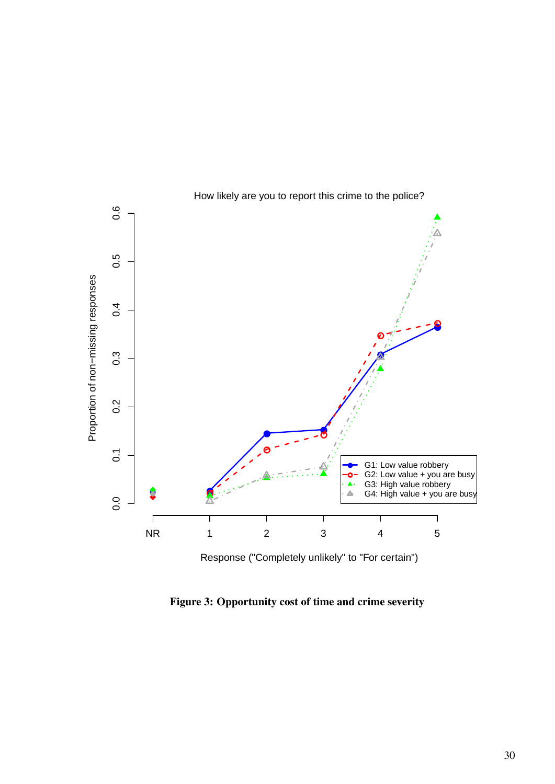

How likely are you to report this crime to the police?

Figure 3: Opportunity cost of time and crime severity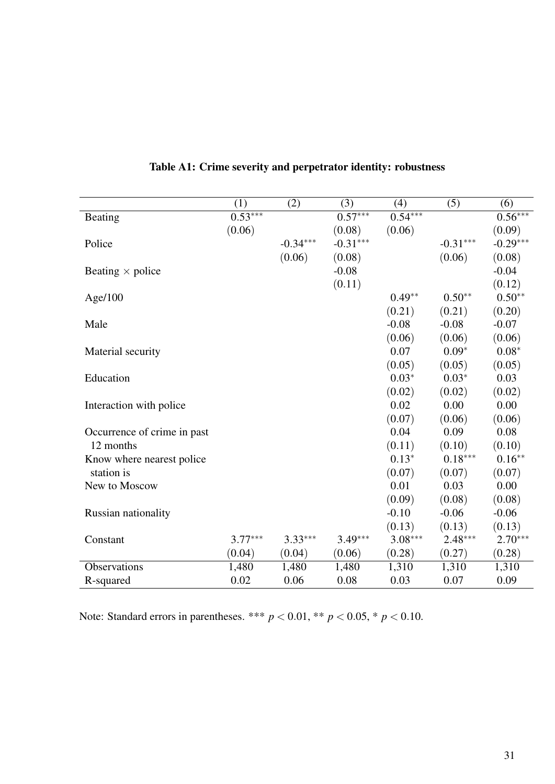|                             | (1)       | (2)        | (3)        | (4)       | (5)        | (6)        |
|-----------------------------|-----------|------------|------------|-----------|------------|------------|
| Beating                     | $0.53***$ |            | $0.57***$  | $0.54***$ |            | $0.56***$  |
|                             | (0.06)    |            | (0.08)     | (0.06)    |            | (0.09)     |
| Police                      |           | $-0.34***$ | $-0.31***$ |           | $-0.31***$ | $-0.29***$ |
|                             |           | (0.06)     | (0.08)     |           | (0.06)     | (0.08)     |
| Beating $\times$ police     |           |            | $-0.08$    |           |            | $-0.04$    |
|                             |           |            | (0.11)     |           |            | (0.12)     |
| Age/100                     |           |            |            | $0.49**$  | $0.50**$   | $0.50**$   |
|                             |           |            |            | (0.21)    | (0.21)     | (0.20)     |
| Male                        |           |            |            | $-0.08$   | $-0.08$    | $-0.07$    |
|                             |           |            |            | (0.06)    | (0.06)     | (0.06)     |
| Material security           |           |            |            | 0.07      | $0.09*$    | $0.08*$    |
|                             |           |            |            | (0.05)    | (0.05)     | (0.05)     |
| Education                   |           |            |            | $0.03*$   | $0.03*$    | 0.03       |
|                             |           |            |            | (0.02)    | (0.02)     | (0.02)     |
| Interaction with police     |           |            |            | 0.02      | 0.00       | 0.00       |
|                             |           |            |            | (0.07)    | (0.06)     | (0.06)     |
| Occurrence of crime in past |           |            |            | 0.04      | 0.09       | 0.08       |
| 12 months                   |           |            |            | (0.11)    | (0.10)     | (0.10)     |
| Know where nearest police   |           |            |            | $0.13*$   | $0.18***$  | $0.16**$   |
| station is                  |           |            |            | (0.07)    | (0.07)     | (0.07)     |
| New to Moscow               |           |            |            | 0.01      | 0.03       | 0.00       |
|                             |           |            |            | (0.09)    | (0.08)     | (0.08)     |
| Russian nationality         |           |            |            | $-0.10$   | $-0.06$    | $-0.06$    |
|                             |           |            |            | (0.13)    | (0.13)     | (0.13)     |
| Constant                    | $3.77***$ | $3.33***$  | $3.49***$  | $3.08***$ | $2.48***$  | $2.70***$  |
|                             | (0.04)    | (0.04)     | (0.06)     | (0.28)    | (0.27)     | (0.28)     |
| Observations                | 1,480     | 1,480      | 1,480      | 1,310     | 1,310      | 1,310      |
| R-squared                   | 0.02      | 0.06       | 0.08       | 0.03      | 0.07       | 0.09       |

Table A1: Crime severity and perpetrator identity: robustness

Note: Standard errors in parentheses. \*\*\*  $p < 0.01$ , \*\*  $p < 0.05$ , \*  $p < 0.10$ .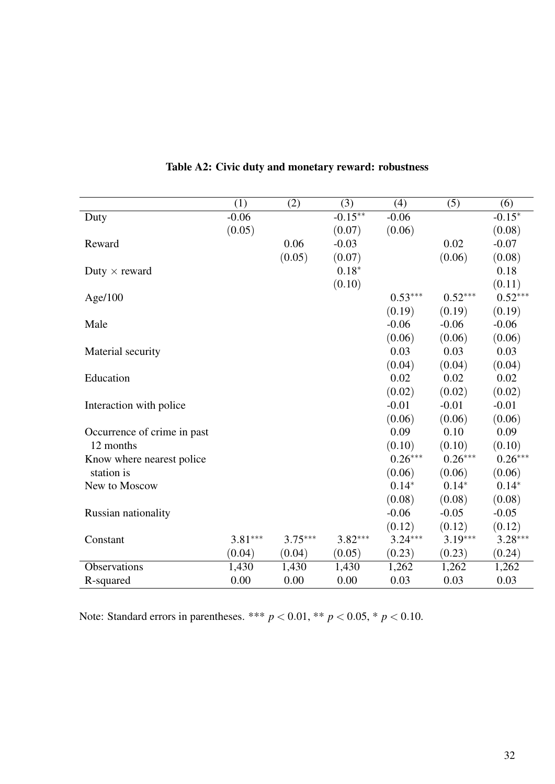|                             | (1)       | (2)       | (3)        | (4)       | (5)       | (6)       |
|-----------------------------|-----------|-----------|------------|-----------|-----------|-----------|
| Duty                        | $-0.06$   |           | $-0.15***$ | $-0.06$   |           | $-0.15*$  |
|                             | (0.05)    |           | (0.07)     | (0.06)    |           | (0.08)    |
| Reward                      |           | 0.06      | $-0.03$    |           | 0.02      | $-0.07$   |
|                             |           | (0.05)    | (0.07)     |           | (0.06)    | (0.08)    |
| Duty $\times$ reward        |           |           | $0.18*$    |           |           | 0.18      |
|                             |           |           | (0.10)     |           |           | (0.11)    |
| Age/100                     |           |           |            | $0.53***$ | $0.52***$ | $0.52***$ |
|                             |           |           |            | (0.19)    | (0.19)    | (0.19)    |
| Male                        |           |           |            | $-0.06$   | $-0.06$   | $-0.06$   |
|                             |           |           |            | (0.06)    | (0.06)    | (0.06)    |
| Material security           |           |           |            | 0.03      | 0.03      | 0.03      |
|                             |           |           |            | (0.04)    | (0.04)    | (0.04)    |
| Education                   |           |           |            | 0.02      | 0.02      | 0.02      |
|                             |           |           |            | (0.02)    | (0.02)    | (0.02)    |
| Interaction with police     |           |           |            | $-0.01$   | $-0.01$   | $-0.01$   |
|                             |           |           |            | (0.06)    | (0.06)    | (0.06)    |
| Occurrence of crime in past |           |           |            | 0.09      | 0.10      | 0.09      |
| 12 months                   |           |           |            | (0.10)    | (0.10)    | (0.10)    |
| Know where nearest police   |           |           |            | $0.26***$ | $0.26***$ | $0.26***$ |
| station is                  |           |           |            | (0.06)    | (0.06)    | (0.06)    |
| New to Moscow               |           |           |            | $0.14*$   | $0.14*$   | $0.14*$   |
|                             |           |           |            | (0.08)    | (0.08)    | (0.08)    |
| Russian nationality         |           |           |            | $-0.06$   | $-0.05$   | $-0.05$   |
|                             |           |           |            | (0.12)    | (0.12)    | (0.12)    |
| Constant                    | $3.81***$ | $3.75***$ | $3.82***$  | $3.24***$ | $3.19***$ | $3.28***$ |
|                             | (0.04)    | (0.04)    | (0.05)     | (0.23)    | (0.23)    | (0.24)    |
| Observations                | 1,430     | 1,430     | 1,430      | 1,262     | 1,262     | 1,262     |
| R-squared                   | 0.00      | 0.00      | 0.00       | 0.03      | 0.03      | 0.03      |

# Table A2: Civic duty and monetary reward: robustness

Note: Standard errors in parentheses. \*\*\*  $p < 0.01$ , \*\*  $p < 0.05$ , \*  $p < 0.10$ .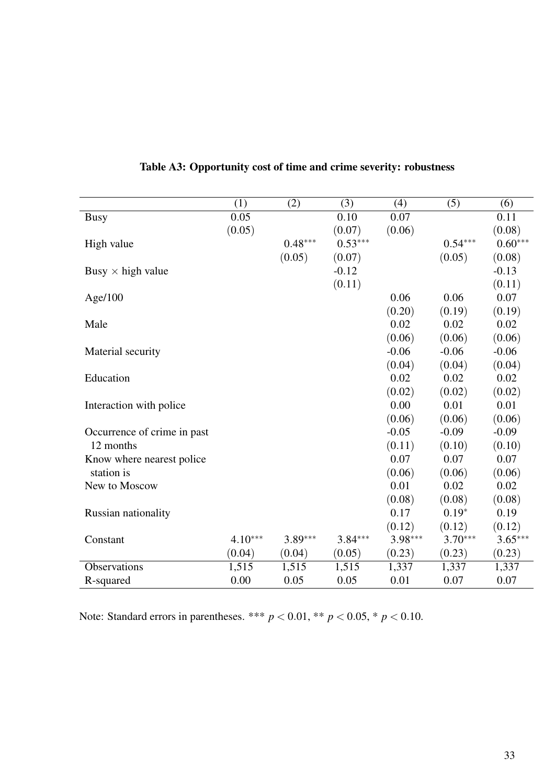|                             | (1)       | (2)       | (3)       | (4)       | (5)       | (6)       |
|-----------------------------|-----------|-----------|-----------|-----------|-----------|-----------|
| <b>Busy</b>                 | 0.05      |           | 0.10      | 0.07      |           | 0.11      |
|                             | (0.05)    |           | (0.07)    | (0.06)    |           | (0.08)    |
| High value                  |           | $0.48***$ | $0.53***$ |           | $0.54***$ | $0.60***$ |
|                             |           | (0.05)    | (0.07)    |           | (0.05)    | (0.08)    |
| Busy $\times$ high value    |           |           | $-0.12$   |           |           | $-0.13$   |
|                             |           |           | (0.11)    |           |           | (0.11)    |
| Age/100                     |           |           |           | 0.06      | 0.06      | 0.07      |
|                             |           |           |           | (0.20)    | (0.19)    | (0.19)    |
| Male                        |           |           |           | 0.02      | 0.02      | 0.02      |
|                             |           |           |           | (0.06)    | (0.06)    | (0.06)    |
| Material security           |           |           |           | $-0.06$   | $-0.06$   | $-0.06$   |
|                             |           |           |           | (0.04)    | (0.04)    | (0.04)    |
| Education                   |           |           |           | 0.02      | 0.02      | 0.02      |
|                             |           |           |           | (0.02)    | (0.02)    | (0.02)    |
| Interaction with police     |           |           |           | 0.00      | 0.01      | 0.01      |
|                             |           |           |           | (0.06)    | (0.06)    | (0.06)    |
| Occurrence of crime in past |           |           |           | $-0.05$   | $-0.09$   | $-0.09$   |
| 12 months                   |           |           |           | (0.11)    | (0.10)    | (0.10)    |
| Know where nearest police   |           |           |           | 0.07      | 0.07      | 0.07      |
| station is                  |           |           |           | (0.06)    | (0.06)    | (0.06)    |
| New to Moscow               |           |           |           | 0.01      | 0.02      | 0.02      |
|                             |           |           |           | (0.08)    | (0.08)    | (0.08)    |
| Russian nationality         |           |           |           | 0.17      | $0.19*$   | 0.19      |
|                             |           |           |           | (0.12)    | (0.12)    | (0.12)    |
| Constant                    | $4.10***$ | $3.89***$ | $3.84***$ | $3.98***$ | $3.70***$ | $3.65***$ |
|                             | (0.04)    | (0.04)    | (0.05)    | (0.23)    | (0.23)    | (0.23)    |
| Observations                | 1,515     | 1,515     | 1,515     | 1,337     | 1,337     | 1,337     |
| R-squared                   | 0.00      | 0.05      | 0.05      | 0.01      | 0.07      | 0.07      |

|  |  |  | Table A3: Opportunity cost of time and crime severity: robustness |  |
|--|--|--|-------------------------------------------------------------------|--|
|--|--|--|-------------------------------------------------------------------|--|

Note: Standard errors in parentheses. \*\*\* *p* < 0.01, \*\* *p* < 0.05, \* *p* < 0.10.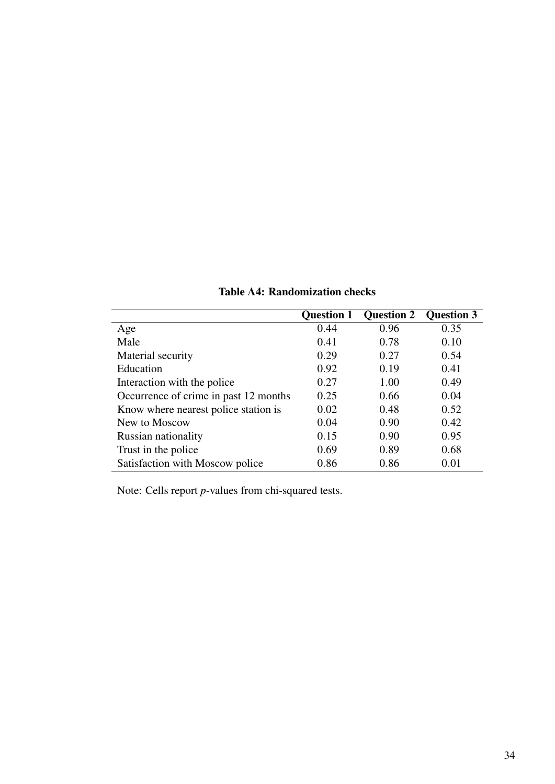|                                       | <b>Question 1</b> | <b>Question 2</b> | <b>Question 3</b> |
|---------------------------------------|-------------------|-------------------|-------------------|
| Age                                   | 0.44              | 0.96              | 0.35              |
| Male                                  | 0.41              | 0.78              | 0.10              |
| Material security                     | 0.29              | 0.27              | 0.54              |
| Education                             | 0.92              | 0.19              | 0.41              |
| Interaction with the police           | 0.27              | 1.00              | 0.49              |
| Occurrence of crime in past 12 months | 0.25              | 0.66              | 0.04              |
| Know where nearest police station is  | 0.02              | 0.48              | 0.52              |
| New to Moscow                         | 0.04              | 0.90              | 0.42              |
| <b>Russian nationality</b>            | 0.15              | 0.90              | 0.95              |
| Trust in the police                   | 0.69              | 0.89              | 0.68              |
| Satisfaction with Moscow police       | 0.86              | 0.86              | 0.01              |

Table A4: Randomization checks

Note: Cells report *p*-values from chi-squared tests.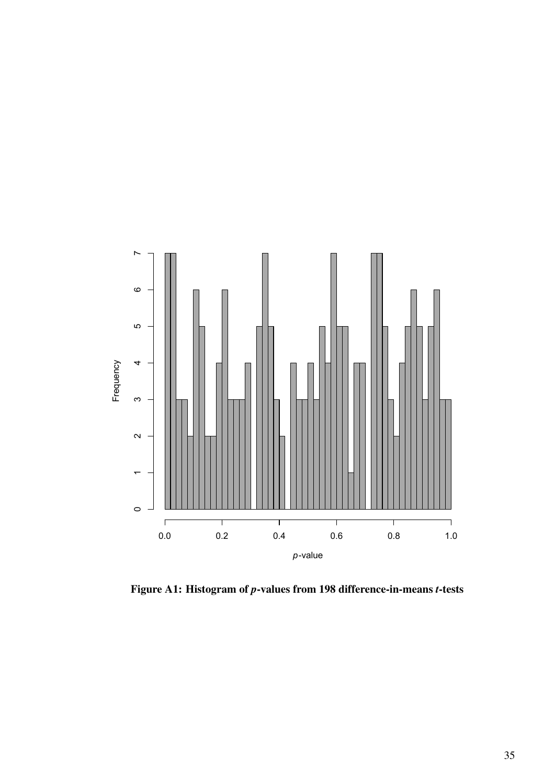

Figure A1: Histogram of *p*-values from 198 difference-in-means *t*-tests